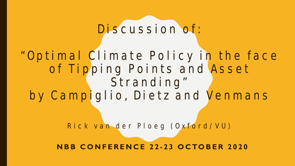Discussion of:

"Optimal Climate Policy in the face of Tipping Points and Asset Stranding" by Campiglio, Dietz and Venmans

Rick van der Ploeg (Oxford/VU)

**NBB CONFERENCE 22 - 23 OCTOBER 2020**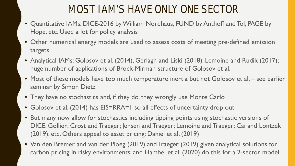#### MOST IAM'S HAVE ONLY ONE SECTOR

- Quantitative IAMs: DICE-2016 by William Nordhaus, FUND by Anthoff and Tol, PAGE by Hope, etc. Used a lot for policy analysis
- Other numerical energy models are used to assess costs of meeting pre-defined emission targets
- Analytical IAMs: Golosov et al. (2014), Gerlagh and Liski (2018), Lemoine and Rudik (2017); huge number of applications of Brock-Mirman structure of Golosov et al.
- Most of these models have too much temperature inertia but not Golosov et al. see earlier seminar by Simon Dietz
- They have no stochastics and, if they do, they wrongly use Monte Carlo
- Golosov et al. (2014) has EIS=RRA=1 so all effects of uncertainty drop out
- But many now allow for stochastics including tipping points using stochastic versions of DICE: Gollier; Crost and Traeger; Jensen and Traeger; Lemoine and Traeger; Cai and Lontzek (2019); etc. Others appeal to asset pricing: Daniel et al. (2019)
- Van den Bremer and van der Ploeg (2019) and Traeger (2019) given analytical solutions for carbon pricing in risky environments, and Hambel et al. (2020) do this for a 2-sector model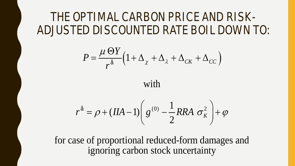#### THE OPTIMAL CARBON PRICE AND RISK-ADJUSTED DISCOUNTED RATE BOIL DOWN TO:

$$
P = \frac{\mu \Theta Y}{r^{\mathsf{a}}} \Big( 1 + \Delta_{\chi} + \Delta_{\lambda} + \Delta_{CK} + \Delta_{CC} \Big)
$$

#### with

$$
r^{\hat{a}} = \rho + (IIA - 1) \left( g^{(0)} - \frac{1}{2} RRA \sigma_K^2 \right) + \varphi
$$

for case of proportional reduced-form damages and ignoring carbon stock uncertainty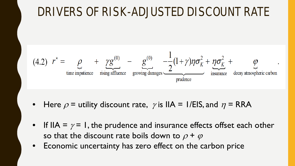## DRIVERS OF RISK-ADJUSTED DISCOUNT RATE



- Here  $\rho$  = utility discount rate,  $\gamma$  is IIA = 1/EIS, and  $\eta$  = RRA
- If IIA =  $\gamma$  = 1, the prudence and insurance effects offset each other so that the discount rate boils down to  $\rho + \varphi$
- Economic uncertainty has zero effect on the carbon price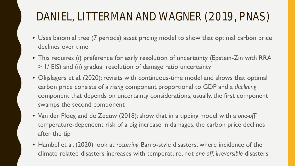# DANIEL, LITTERMAN AND WAGNER (2019, PNAS)

- Uses binomial tree (7 periods) asset pricing model to show that optimal carbon price declines over time
- This requires (i) preference for early resolution of uncertainty (Epstein-Zin with RRA > 1/ EIS) and (ii) gradual resolution of damage ratio uncertainty
- Olijslagers et al. (2020): revisits with continuous-time model and shows that optimal carbon price consists of a *rising* component proportional to GDP and a *declining* component that depends on uncertainty considerations; usually, the first component swamps the second component
- Van der Ploeg and de Zeeuw (2018): show that in a tipping model with a *one-off* temperature-dependent risk of a big increase in damages, the carbon price declines after the tip
- Hambel et al. (2020) look at *recurring* Barro-style disasters, where incidence of the climate-related disasters increases with temperature, not *one-off, irreversible* disasters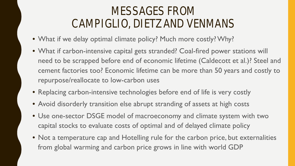### MESSAGES FROM CAMPIGLIO, DIETZ AND VENMANS

- What if we delay optimal climate policy? Much more costly? Why?
- What if carbon-intensive capital gets stranded? Coal-fired power stations will need to be scrapped before end of economic lifetime (Caldecott et al.)? Steel and cement factories too? Economic lifetime can be more than 50 years and costly to repurpose/reallocate to low-carbon uses
- Replacing carbon-intensive technologies before end of life is very costly
- Avoid disorderly transition else abrupt stranding of assets at high costs
- Use one-sector DSGE model of macroeconomy and climate system with two capital stocks to evaluate costs of optimal and of delayed climate policy
- Not a temperature cap and Hotelling rule for the carbon price, but externalities from global warming and carbon price grows in line with world GDP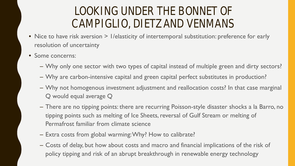## LOOKING UNDER THE BONNET OF CAMPIGLIO, DIETZ AND VENMANS

- Nice to have risk aversion > I/elasticity of intertemporal substitution: preference for early resolution of uncertainty
- Some concerns:
	- Why only one sector with two types of capital instead of multiple green and dirty sectors?
	- Why are carbon-intensive capital and green capital perfect substitutes in production?
	- Why not homogenous investment adjustment and reallocation costs? In that case marginal Q would equal average Q
	- There are no tipping points: there are recurring Poisson-style disaster shocks a la Barro, no tipping points such as melting of Ice Sheets, reversal of Gulf Stream or melting of Permafrost familiar from climate science
	- Extra costs from global warming: Why? How to calibrate?
	- Costs of delay, but how about costs and macro and financial implications of the risk of policy tipping and risk of an abrupt breakthrough in renewable energy technology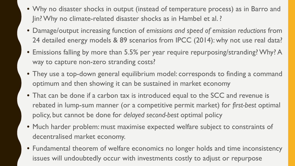- Why no disaster shocks in output (instead of temperature process) as in Barro and Jin? Why no climate-related disaster shocks as in Hambel et al. ?
- Damage/output increasing function of *emissions and speed of emission reductions* from 24 detailed energy models & 89 scenarios from IPCC (2014): why not use real data?
- Emissions falling by more than 5.5% per year require repurposing/stranding? Why? A way to capture non-zero stranding costs?
- They use a top-down general equilibrium model: corresponds to finding a command optimum and then showing it can be sustained in market economy
- That can be done if a carbon tax is introduced equal to the SCC and revenue is rebated in lump-sum manner (or a competitive permit market) for *first-best* optimal policy, but cannot be done for *delayed second-best* optimal policy
- Much harder problem: must maximise expected welfare subject to constraints of decentralised market economy.
- Fundamental theorem of welfare economics no longer holds and time inconsistency issues will undoubtedly occur with investments costly to adjust or repurpose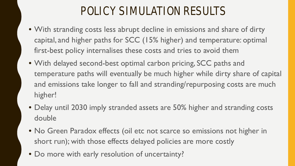## POLICY SIMULATION RESULTS

- With stranding costs less abrupt decline in emissions and share of dirty capital, and higher paths for SCC (15% higher) and temperature: optimal first-best policy internalises these costs and tries to avoid them
- With delayed second-best optimal carbon pricing, SCC paths and temperature paths will eventually be much higher while dirty share of capital and emissions take longer to fall and stranding/repurposing costs are much higher!
- Delay until 2030 imply stranded assets are 50% higher and stranding costs double
- No Green Paradox effects (oil etc not scarce so emissions not higher in short run); with those effects delayed policies are more costly
- Do more with early resolution of uncertainty?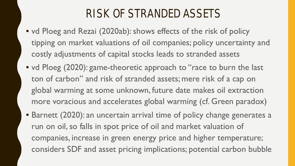#### RISK OF STRANDED ASSETS

- vd Ploeg and Rezai (2020ab): shows effects of the risk of policy tipping on market valuations of oil companies; policy uncertainty and costly adjustments of capital stocks leads to stranded assets
- vd Ploeg (2020): game-theoretic approach to "race to burn the last ton of carbon" and risk of stranded assets; mere risk of a cap on global warming at some unknown, future date makes oil extraction more voracious and accelerates global warming (cf. Green paradox)
- Barnett (2020): an uncertain arrival time of policy change generates a run on oil, so falls in spot price of oil and market valuation of companies, increase in green energy price and higher temperature; considers SDF and asset pricing implications; potential carbon bubble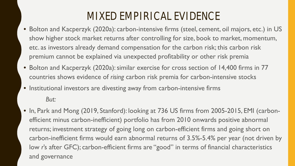#### MIXED EMPIRICAL EVIDENCE

- Bolton and Kacperzyk (2020a): carbon-intensive firms (steel, cement, oil majors, etc.) in US show higher stock market returns after controlling for size, book to market, momentum, etc. as investors already demand compensation for the carbon risk; this carbon risk premium cannot be explained via unexpected profitability or other risk premia
- Bolton and Kacperzyk (2020a): similar exercise for cross section of 14,400 firms in 77 countries shows evidence of *rising* carbon risk premia for carbon-intensive stocks
- Institutional investors are divesting away from carbon-intensive firms *But:*
- In, Park and Mong (2019, Stanford): looking at 736 US firms from 2005-2015, EMI (carbonefficient minus carbon-inefficient) portfolio has from 2010 onwards positive abnormal returns; investment strategy of going long on carbon-efficient firms and going short on carbon-inefficient firms would earn abnormal returns of 3.5%-5.4% per year (not driven by low *r's* after GFC); carbon-efficient firms are "good" in terms of financial characteristics and governance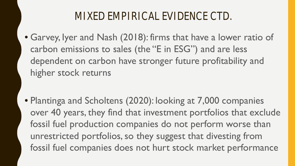#### MIXED EMPIRICAL EVIDENCE CTD.

• Garvey, Iyer and Nash (2018): firms that have a lower ratio of carbon emissions to sales (the "E in ESG") and are less dependent on carbon have stronger future profitability and higher stock returns

• Plantinga and Scholtens (2020): looking at 7,000 companies over 40 years, they find that investment portfolios that exclude fossil fuel production companies do not perform worse than unrestricted portfolios, so they suggest that divesting from fossil fuel companies does not hurt stock market performance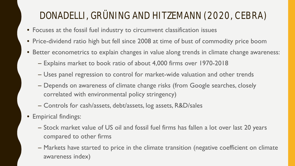#### DONADELLI, GRÜNING AND HITZEMANN (2020, CEBRA)

- Focuses at the fossil fuel industry to circumvent classification issues
- Price-dividend ratio high but fell since 2008 at time of bust of commodity price boom
- Better econometrics to explain changes in value along trends in climate change awareness:
	- Explains market to book ratio of about 4,000 firms over 1970-2018
	- Uses panel regression to control for market-wide valuation and other trends
	- Depends on awareness of climate change risks (from Google searches, closely correlated with environmental policy stringency)
	- Controls for cash/assets, debt/assets, log assets, R&D/sales
- Empirical findings:
	- Stock market value of US oil and fossil fuel firms has fallen a lot over last 20 years compared to other firms
	- Markets have started to price in the climate transition (negative coefficient on climate awareness index)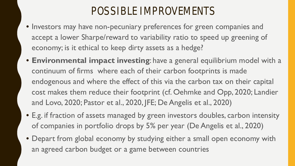#### POSSIBLE IMPROVEMENTS

- Investors may have non-pecuniary preferences for green companies and accept a lower Sharpe/reward to variability ratio to speed up greening of economy; is it ethical to keep dirty assets as a hedge?
- **Environmental impact investing**: have a general equilibrium model with a continuum of firms where each of their carbon footprints is made endogenous and where the effect of this via the carbon tax on their capital cost makes them reduce their footprint (cf. Oehmke and Opp, 2020; Landier and Lovo, 2020; Pastor et al., 2020, JFE; De Angelis et al., 2020)
- E.g. if fraction of assets managed by green investors doubles, carbon intensity of companies in portfolio drops by 5% per year (De Angelis et al., 2020)
- Depart from global economy by studying either a small open economy with an agreed carbon budget or a game between countries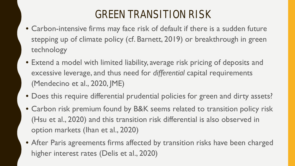#### GREEN TRANSITION RISK

- Carbon-intensive firms may face risk of default if there is a sudden future stepping up of climate policy (cf. Barnett, 2019) or breakthrough in green technology
- Extend a model with limited liability, average risk pricing of deposits and excessive leverage, and thus need for *differential* capital requirements (Mendecino et al., 2020, JME)
- Does this require differential prudential policies for green and dirty assets?
- Carbon risk premium found by B&K seems related to transition policy risk (Hsu et al., 2020) and this transition risk differential is also observed in option markets (Ihan et al., 2020)
- After Paris agreements firms affected by transition risks have been charged higher interest rates (Delis et al., 2020)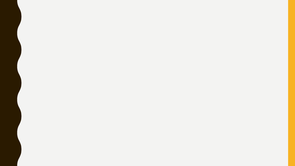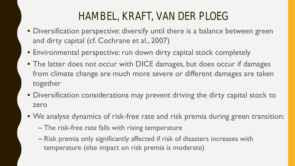### HAMBEL, KRAFT, VAN DER PLOEG

- Diversification perspective: diversify until there is a balance between green and dirty capital (cf. Cochrane et al., 2007)
- Environmental perspective: run down dirty capital stock completely
- The latter does not occur with DICE damages, but does occur if damages from climate change are much more severe or different damages are taken together
- Diversification considerations may prevent driving the dirty capital stock to zero
- We analyse dynamics of risk-free rate and risk premia during green transition:
	- The risk-free rate falls with rising temperature
	- Risk premia only significantly affected if risk of disasters increases with temperature (else impact on risk premia is moderate)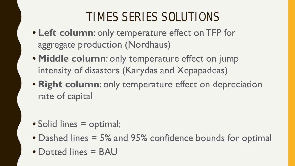# TIMES SERIES SOLUTIONS

- **Left column**: only temperature effect on TFP for aggregate production (Nordhaus)
- **Middle column**: only temperature effect on jump intensity of disasters (Karydas and Xepapadeas)
- **Right column**: only temperature effect on depreciation rate of capital

- Solid lines = optimal;
- Dashed lines = 5% and 95% confidence bounds for optimal
- Dotted lines = BAU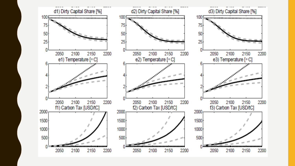